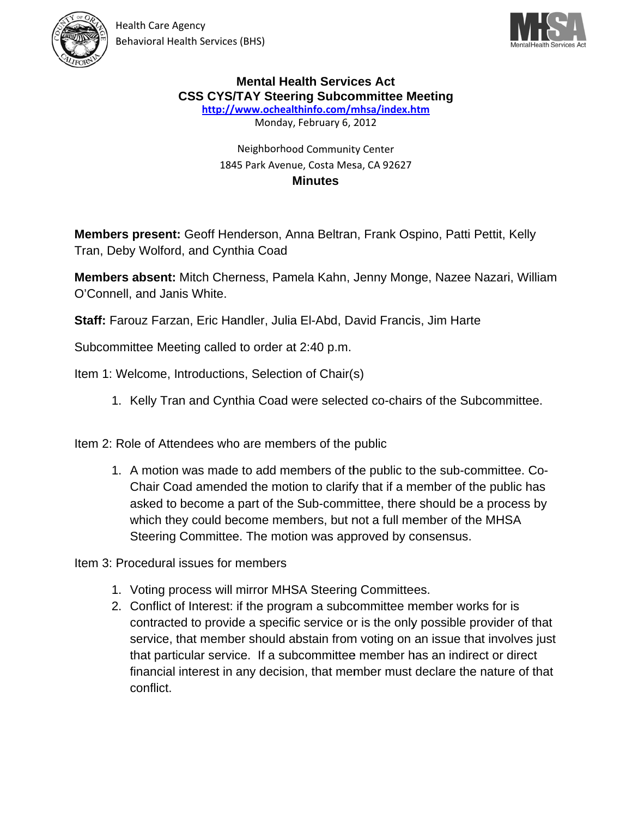



## **Mental Health Services Act CSS CYS/TAY Steering Subcommittee Meeting**

http://www.ochealthinfo.com/mhsa/index.htm

Monday, February 6, 2012

## Neighborhood Community Center 1845 Park Avenue, Costa Mesa, CA 92627 **Minutes**

Members present: Geoff Henderson, Anna Beltran, Frank Ospino, Patti Pettit, Kelly Tran, Deby Wolford, and Cynthia Coad

Members absent: Mitch Cherness, Pamela Kahn, Jenny Monge, Nazee Nazari, William O'Connell, and Janis White.

Staff: Farouz Farzan, Eric Handler, Julia El-Abd, David Francis, Jim Harte

Subcommittee Meeting called to order at 2:40 p.m.

Item 1: Welcome, Introductions, Selection of Chair(s)

1. Kelly Tran and Cynthia Coad were selected co-chairs of the Subcommittee.

Item 2: Role of Attendees who are members of the public

1. A motion was made to add members of the public to the sub-committee. Co-Chair Coad amended the motion to clarify that if a member of the public has asked to become a part of the Sub-committee, there should be a process by which they could become members, but not a full member of the MHSA Steering Committee. The motion was approved by consensus.

Item 3: Procedural issues for members

- 1. Voting process will mirror MHSA Steering Committees.
- 2. Conflict of Interest: if the program a subcommittee member works for is contracted to provide a specific service or is the only possible provider of that service, that member should abstain from voting on an issue that involves just that particular service. If a subcommittee member has an indirect or direct financial interest in any decision, that member must declare the nature of that conflict.